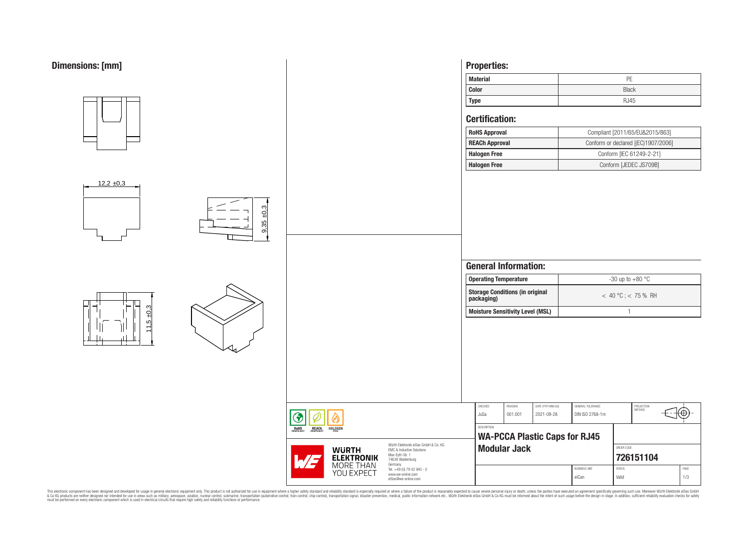| <b>Dimensions: [mm]</b> |                          |                                                                    |                                                                                                           | <b>Properties:</b>                            |                                                             |                                 |                                      |                                     |  |     |  |
|-------------------------|--------------------------|--------------------------------------------------------------------|-----------------------------------------------------------------------------------------------------------|-----------------------------------------------|-------------------------------------------------------------|---------------------------------|--------------------------------------|-------------------------------------|--|-----|--|
|                         |                          |                                                                    |                                                                                                           | <b>Material</b>                               |                                                             |                                 |                                      | $\mathsf{PE}$                       |  |     |  |
|                         |                          |                                                                    |                                                                                                           | Color                                         |                                                             |                                 |                                      | Black                               |  |     |  |
|                         |                          |                                                                    |                                                                                                           | Type                                          |                                                             |                                 |                                      | <b>RJ45</b>                         |  |     |  |
|                         |                          |                                                                    |                                                                                                           | <b>Certification:</b>                         |                                                             |                                 |                                      |                                     |  |     |  |
|                         |                          |                                                                    |                                                                                                           | <b>RoHS Approval</b>                          |                                                             |                                 |                                      | Compliant [2011/65/EU&2015/863]     |  |     |  |
|                         |                          |                                                                    |                                                                                                           | <b>REACh Approval</b>                         |                                                             |                                 |                                      | Conform or declared [(EC)1907/2006] |  |     |  |
|                         |                          |                                                                    |                                                                                                           | <b>Halogen Free</b>                           |                                                             |                                 |                                      | Conform [IEC 61249-2-21]            |  |     |  |
|                         |                          |                                                                    |                                                                                                           | <b>Halogen Free</b>                           |                                                             |                                 |                                      | Conform [JEDEC JS709B]              |  |     |  |
|                         | $\frac{+0.3}{2}$<br>9,35 |                                                                    |                                                                                                           |                                               |                                                             |                                 |                                      |                                     |  |     |  |
|                         |                          |                                                                    |                                                                                                           | <b>General Information:</b>                   |                                                             |                                 |                                      |                                     |  |     |  |
|                         |                          |                                                                    |                                                                                                           | <b>Operating Temperature</b>                  |                                                             |                                 |                                      | -30 up to +80 $^{\circ}$ C          |  |     |  |
|                         |                          |                                                                    |                                                                                                           | Storage Conditions (in original<br>packaging) |                                                             |                                 |                                      | $< 40 °C$ ; < 75 % RH               |  |     |  |
| $11,5 + 0,3$            |                          |                                                                    |                                                                                                           | <b>Moisture Sensitivity Level (MSL)</b>       |                                                             |                                 |                                      | $\mathbf{1}$                        |  |     |  |
|                         |                          | ◈<br><b>ROHS</b><br>COMPLIANT<br>REACH HALOGEN                     | Würth Elektronik eiSos GmbH & Co. KG                                                                      | CHECKED<br>JuSa<br>DESCRIPTION                | REVISION<br>001.001<br><b>WA-PCCA Plastic Caps for RJ45</b> | DATE (YYYY-MM-DD)<br>2021-09-28 | GENERAL TOLERANCE<br>DIN ISO 2768-1m | PROJECTION<br>METHOD<br>ORDER CODE  |  | Θ   |  |
|                         |                          | <b>WURTH</b><br><b>ELEKTRONIK</b><br>WE<br>MORE THAN<br>YOU EXPECT | EMC & Inductive Solutions<br>Max-Eyth-Str. 1<br>74638 Waldenburg<br>Germany<br>Tel. +49 (0) 79 42 945 - 0 | <b>Modular Jack</b>                           |                                                             |                                 | <b>BUSINESS UNIT</b>                 | 726151104<br>STATUS<br>PAGE         |  |     |  |
|                         |                          |                                                                    | www.we-online.com<br>eiSos@we-online.com                                                                  |                                               |                                                             |                                 | eiCan                                | Valid                               |  | 1/3 |  |

This electronic component has been designed and developed for usage in general electronic equipment only. This product is not authorized for subserved requipment where a higher selection equipment where a higher selection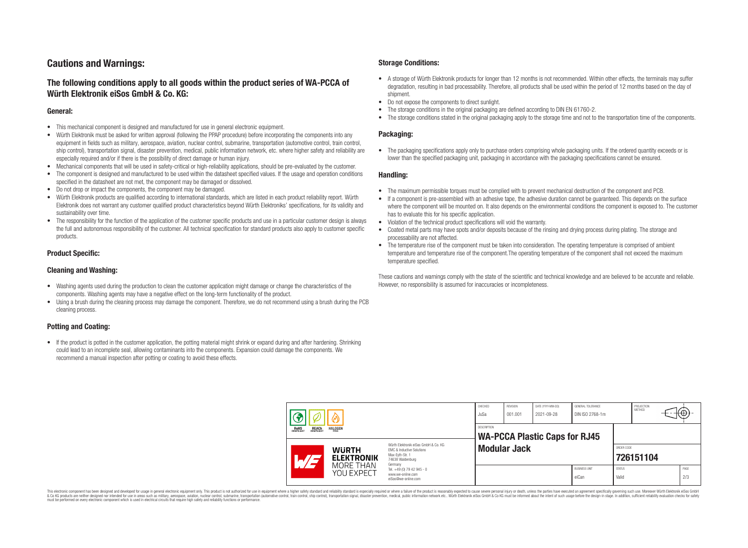# **Cautions and Warnings:**

# **The following conditions apply to all goods within the product series of WA-PCCA of Würth Elektronik eiSos GmbH & Co. KG:**

### **General:**

- This mechanical component is designed and manufactured for use in general electronic equipment.
- Würth Elektronik must be asked for written approval (following the PPAP procedure) before incorporating the components into any equipment in fields such as military, aerospace, aviation, nuclear control, submarine, transportation (automotive control, train control, ship control), transportation signal, disaster prevention, medical, public information network, etc. where higher safety and reliability are especially required and/or if there is the possibility of direct damage or human injury.
- Mechanical components that will be used in safety-critical or high-reliability applications, should be pre-evaluated by the customer.
- The component is designed and manufactured to be used within the datasheet specified values. If the usage and operation conditions specified in the datasheet are not met, the component may be damaged or dissolved.
- Do not drop or impact the components, the component may be damaged.<br>• Wirth Elektronik products are qualified according to international standard
- Würth Elektronik products are qualified according to international standards, which are listed in each product reliability report. Würth Elektronik does not warrant any customer qualified product characteristics beyond Würth Elektroniks' specifications, for its validity and sustainability over time.
- The responsibility for the function of the application of the customer specific products and use in a particular customer design is always the full and autonomous responsibility of the customer. All technical specification for standard products also apply to customer specific products.

### **Product Specific:**

### **Cleaning and Washing:**

- Washing agents used during the production to clean the customer application might damage or change the characteristics of the components. Washing agents may have a negative effect on the long-term functionality of the product.
- Using a brush during the cleaning process may damage the component. Therefore, we do not recommend using a brush during the PCB cleaning process.

# **Potting and Coating:**

• If the product is potted in the customer application, the potting material might shrink or expand during and after hardening. Shrinking could lead to an incomplete seal, allowing contaminants into the components. Expansion could damage the components. We recommend a manual inspection after potting or coating to avoid these effects.

### **Storage Conditions:**

- A storage of Würth Elektronik products for longer than 12 months is not recommended. Within other effects, the terminals may suffer degradation, resulting in bad processability. Therefore, all products shall be used within the period of 12 months based on the day of shipment.
- Do not expose the components to direct sunlight.<br>• The storage conditions in the original packaging
- The storage conditions in the original packaging are defined according to DIN EN 61760-2.
- The storage conditions stated in the original packaging apply to the storage time and not to the transportation time of the components.

### **Packaging:**

• The packaging specifications apply only to purchase orders comprising whole packaging units. If the ordered quantity exceeds or is lower than the specified packaging unit, packaging in accordance with the packaging specifications cannot be ensured.

### **Handling:**

- The maximum permissible torques must be complied with to prevent mechanical destruction of the component and PCB.
- If a component is pre-assembled with an adhesive tape, the adhesive duration cannot be guaranteed. This depends on the surface where the component will be mounted on. It also depends on the environmental conditions the component is exposed to. The customer has to evaluate this for his specific application.
- Violation of the technical product specifications will void the warranty.
- Coated metal parts may have spots and/or deposits because of the rinsing and drying process during plating. The storage and processability are not affected.
- The temperature rise of the component must be taken into consideration. The operating temperature is comprised of ambient temperature and temperature rise of the component.The operating temperature of the component shall not exceed the maximum temperature specified.

These cautions and warnings comply with the state of the scientific and technical knowledge and are believed to be accurate and reliable. However, no responsibility is assumed for inaccuracies or incompleteness.

| <b>HALOGEN</b><br><b>REACH</b><br>COMPLIANT<br><b>ROHS</b><br>COMPLIANT<br>Würth Flektronik eiSos GmbH & Co. KG<br><b>WURTH</b><br><b>FMC &amp; Inductive Solutions</b><br>Max-Evth-Str. 1<br><b>ELEKTRONIK</b><br>74638 Waldenburg |                                                                        | CHECKED<br>JuSa                                            | REVISION<br>DATE (YYYY-MM-DD)<br>GENERAL TOLERANCE<br>DIN ISO 2768-1m<br>001.001<br>2021-09-28 |  |                               | PROJECTION<br>METHOD   |                         |  | ₩           |
|-------------------------------------------------------------------------------------------------------------------------------------------------------------------------------------------------------------------------------------|------------------------------------------------------------------------|------------------------------------------------------------|------------------------------------------------------------------------------------------------|--|-------------------------------|------------------------|-------------------------|--|-------------|
|                                                                                                                                                                                                                                     |                                                                        | <b>DESCRIPTION</b><br><b>WA-PCCA Plastic Caps for RJ45</b> |                                                                                                |  |                               |                        |                         |  |             |
|                                                                                                                                                                                                                                     |                                                                        | Germany                                                    | <b>Modular Jack</b>                                                                            |  |                               |                        | ORDER CODE<br>726151104 |  |             |
| MORE THAN<br>YOU EXPECT                                                                                                                                                                                                             | Tel. +49 (0) 79 42 945 - 0<br>www.we-online.com<br>eiSos@we-online.com |                                                            |                                                                                                |  | <b>BUSINESS UNIT</b><br>eiCan | <b>STATUS</b><br>Valid |                         |  | PAGE<br>2/3 |

This electronic component has been designed and developed for usage in general electronic equipment only. This product is not authorized for use in equipment where a higher safety standard and reliability standard si espec & Ook product a label and the membed of the seasuch as marked and as which such a membed and the such assume that income in the seasuch and the simulation and the such assume that include to the such a membed and the such